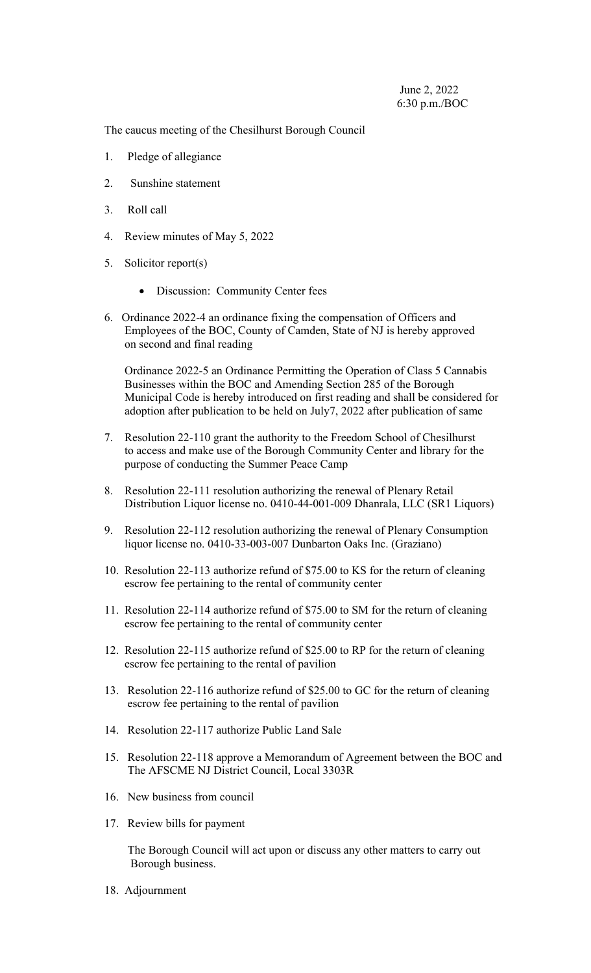The caucus meeting of the Chesilhurst Borough Council

- 1. Pledge of allegiance
- 2. Sunshine statement
- 3. Roll call
- 4. Review minutes of May 5, 2022
- 5. Solicitor report(s)
	- Discussion: Community Center fees
- 6. Ordinance 2022-4 an ordinance fixing the compensation of Officers and Employees of the BOC, County of Camden, State of NJ is hereby approved on second and final reading

 Ordinance 2022-5 an Ordinance Permitting the Operation of Class 5 Cannabis Businesses within the BOC and Amending Section 285 of the Borough Municipal Code is hereby introduced on first reading and shall be considered for adoption after publication to be held on July7, 2022 after publication of same

- 7. Resolution 22-110 grant the authority to the Freedom School of Chesilhurst to access and make use of the Borough Community Center and library for the purpose of conducting the Summer Peace Camp
- 8. Resolution 22-111 resolution authorizing the renewal of Plenary Retail Distribution Liquor license no. 0410-44-001-009 Dhanrala, LLC (SR1 Liquors)
- 9. Resolution 22-112 resolution authorizing the renewal of Plenary Consumption liquor license no. 0410-33-003-007 Dunbarton Oaks Inc. (Graziano)
- 10. Resolution 22-113 authorize refund of \$75.00 to KS for the return of cleaning escrow fee pertaining to the rental of community center
- 11. Resolution 22-114 authorize refund of \$75.00 to SM for the return of cleaning escrow fee pertaining to the rental of community center
- 12. Resolution 22-115 authorize refund of \$25.00 to RP for the return of cleaning escrow fee pertaining to the rental of pavilion
- 13. Resolution 22-116 authorize refund of \$25.00 to GC for the return of cleaning escrow fee pertaining to the rental of pavilion
- 14. Resolution 22-117 authorize Public Land Sale
- 15. Resolution 22-118 approve a Memorandum of Agreement between the BOC and The AFSCME NJ District Council, Local 3303R
- 16. New business from council
- 17. Review bills for payment

 The Borough Council will act upon or discuss any other matters to carry out Borough business.

18. Adjournment